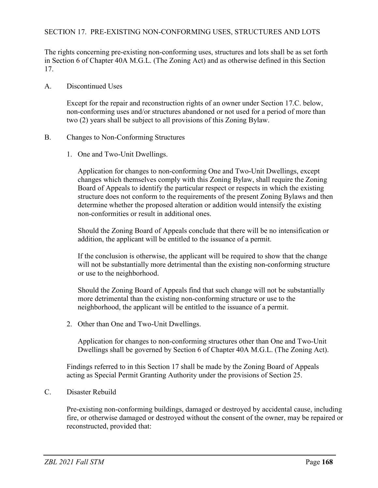## SECTION 17. PRE-EXISTING NON-CONFORMING USES, STRUCTURES AND LOTS

The rights concerning pre-existing non-conforming uses, structures and lots shall be as set forth in Section 6 of Chapter 40A M.G.L. (The Zoning Act) and as otherwise defined in this Section 17.

A. Discontinued Uses

Except for the repair and reconstruction rights of an owner under Section 17.C. below, non-conforming uses and/or structures abandoned or not used for a period of more than two (2) years shall be subject to all provisions of this Zoning Bylaw.

- B. Changes to Non-Conforming Structures
	- 1. One and Two-Unit Dwellings.

Application for changes to non-conforming One and Two-Unit Dwellings, except changes which themselves comply with this Zoning Bylaw, shall require the Zoning Board of Appeals to identify the particular respect or respects in which the existing structure does not conform to the requirements of the present Zoning Bylaws and then determine whether the proposed alteration or addition would intensify the existing non-conformities or result in additional ones.

Should the Zoning Board of Appeals conclude that there will be no intensification or addition, the applicant will be entitled to the issuance of a permit.

If the conclusion is otherwise, the applicant will be required to show that the change will not be substantially more detrimental than the existing non-conforming structure or use to the neighborhood.

Should the Zoning Board of Appeals find that such change will not be substantially more detrimental than the existing non-conforming structure or use to the neighborhood, the applicant will be entitled to the issuance of a permit.

2. Other than One and Two-Unit Dwellings.

Application for changes to non-conforming structures other than One and Two-Unit Dwellings shall be governed by Section 6 of Chapter 40A M.G.L. (The Zoning Act).

Findings referred to in this Section 17 shall be made by the Zoning Board of Appeals acting as Special Permit Granting Authority under the provisions of Section 25.

C. Disaster Rebuild

Pre-existing non-conforming buildings, damaged or destroyed by accidental cause, including fire, or otherwise damaged or destroyed without the consent of the owner, may be repaired or reconstructed, provided that: